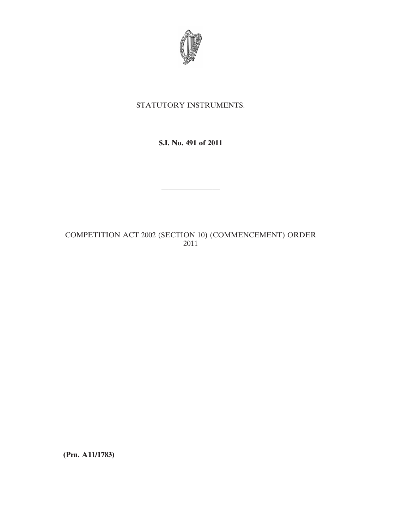

## STATUTORY INSTRUMENTS.

### **S.I. No. 491 of 2011**

————————

# COMPETITION ACT 2002 (SECTION 10) (COMMENCEMENT) ORDER 2011

**(Prn. A11/1783)**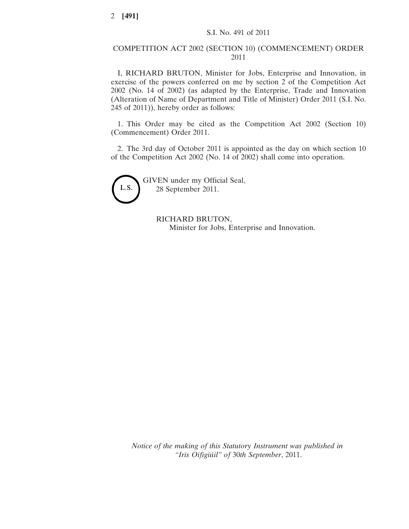#### COMPETITION ACT 2002 (SECTION 10) (COMMENCEMENT) ORDER 2011

I, RICHARD BRUTON, Minister for Jobs, Enterprise and Innovation, in exercise of the powers conferred on me by section 2 of the Competition Act 2002 (No. 14 of 2002) (as adapted by the Enterprise, Trade and Innovation (Alteration of Name of Department and Title of Minister) Order 2011 (S.I. No. 245 of 2011)), hereby order as follows:

1. This Order may be cited as the Competition Act 2002 (Section 10) (Commencement) Order 2011.

2. The 3rd day of October 2011 is appointed as the day on which section 10 of the Competition Act 2002 (No. 14 of 2002) shall come into operation.



GIVEN under my Official Seal, 28 September 2011.

> RICHARD BRUTON, Minister for Jobs, Enterprise and Innovation.

*Notice of the making of this Statutory Instrument was published in "Iris Oifigiúil" of* 30*th September*, 2011.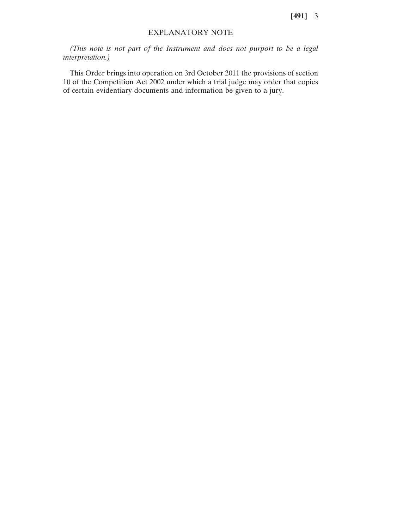**[491]** 3

### EXPLANATORY NOTE

*(This note is not part of the Instrument and does not purport to be a legal interpretation.)*

This Order brings into operation on 3rd October 2011 the provisions of section 10 of the Competition Act 2002 under which a trial judge may order that copies of certain evidentiary documents and information be given to a jury.